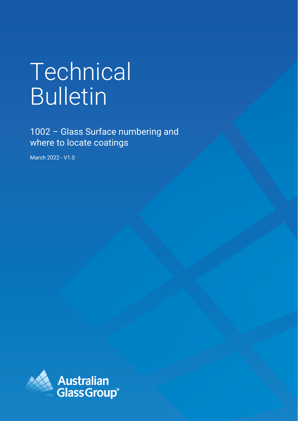# Technical Bulletin

1002 – Glass Surface numbering and where to locate coatings

March 2022 - V1.0

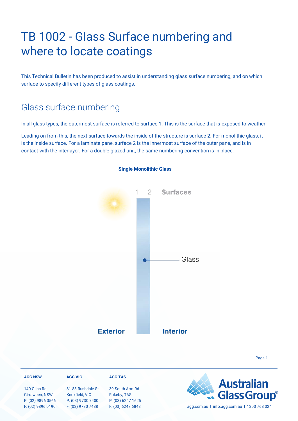# TB 1002 - Glass Surface numbering and where to locate coatings

This Technical Bulletin has been produced to assist in understanding glass surface numbering, and on which surface to specify different types of glass coatings.

### Glass surface numbering

In all glass types, the outermost surface is referred to surface 1. This is the surface that is exposed to weather.

Leading on from this, the next surface towards the inside of the structure is surface 2. For monolithic glass, it is the inside surface. For a laminate pane, surface 2 is the innermost surface of the outer pane, and is in contact with the interlayer. For a double glazed unit, the same numbering convention is in place.



#### **Single Monolithic Glass**

**AGG TAS AGG NSW AGG VIC Australian** 140 Gilba Rd 81-83 Rushdale St 39 South Arm Rd **Glass Group**® Girraween, NSW Knoxfield, VIC Rokeby, TAS P: (02) 9896 0566 P: (03) 9730 7400 P: (03) 6247 1625 F: (02) 9896 0190 F: (03) 9730 7488 F: (03) 6247 6843 agg.com.au | info.agg.com.au | 1300 768 024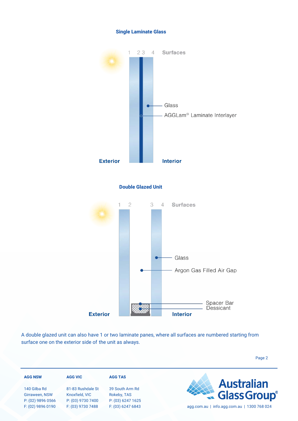



A double glazed unit can also have 1 or two laminate panes, where all surfaces are numbered starting from surface one on the exterior side of the unit as always.

| <b>AGG NSW</b>                                      | <b>AGG VIC</b>                                           | <b>AGG TAS</b>                                      |                                             |
|-----------------------------------------------------|----------------------------------------------------------|-----------------------------------------------------|---------------------------------------------|
| 140 Gilba Rd<br>Girraween, NSW<br>P: (02) 9896 0566 | 81-83 Rushdale St<br>Knoxfield, VIC<br>P: (03) 9730 7400 | 39 South Arm Rd<br>Rokeby, TAS<br>P: (03) 6247 1625 | <b>Australian<br/> Glass Group</b>          |
| F: (02) 9896 0190                                   | F: (03) 9730 7488                                        | F: (03) 6247 6843                                   | agg.com.au   info.agg.com.au   1300 768 024 |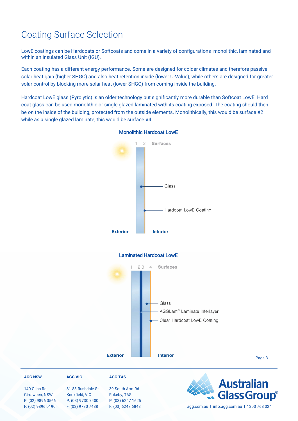## Coating Surface Selection

LowE coatings can be Hardcoats or Softcoats and come in a variety of configurations monolithic, laminated and within an Insulated Glass Unit (IGU).

Each coating has a different energy performance. Some are designed for colder climates and therefore passive solar heat gain (higher SHGC) and also heat retention inside (lower U-Value), while others are designed for greater solar control by blocking more solar heat (lower SHGC) from coming inside the building.

Hardcoat LowE glass (Pyrolytic) is an older technology but significantly more durable than Softcoat LowE. Hard coat glass can be used monolithic or single glazed laminated with its coating exposed. The coating should then be on the inside of the building, protected from the outside elements. Monolithically, this would be surface #2 while as a single glazed laminate, this would be surface #4:



#### Monolithic Hardcoat LowE



#### Page 3

#### **AGG NSW**

140 Gilba Rd Girraween, NSW P: (02) 9896 0566 F: (02) 9896 0190

#### **AGG VIC**

81-83 Rushdale St Knoxfield, VIC P: (03) 9730 7400 F: (03) 9730 7488

#### 39 South Arm Rd Rokeby, TAS P: (03) 6247 1625

**AGG TAS**

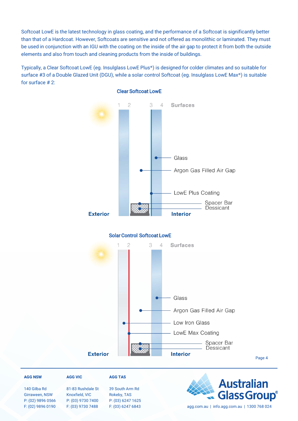Softcoat LowE is the latest technology in glass coating, and the performance of a Softcoat is significantly better than that of a Hardcoat. However, Softcoats are sensitive and not offered as monolithic or laminated. They must be used in conjunction with an IGU with the coating on the inside of the air gap to protect it from both the outside elements and also from touch and cleaning products from the inside of buildings.

Typically, a Clear Softcoat LowE (eg. Insulglass LowE Plus®) is designed for colder climates and so suitable for surface #3 of a Double Glazed Unit (DGU), while a solar control Softcoat (eg. Insulglass LowE Max®) is suitable for surface # 2:



#### Clear Softcoat LowE

**AGG NSW**

140 Gilba Rd Girraween, NSW P: (02) 9896 0566 F: (02) 9896 0190

#### **AGG VIC**

81-83 Rushdale St Knoxfield, VIC P: (03) 9730 7400 F: (03) 9730 7488

39 South Arm Rd Rokeby, TAS P: (03) 6247 1625

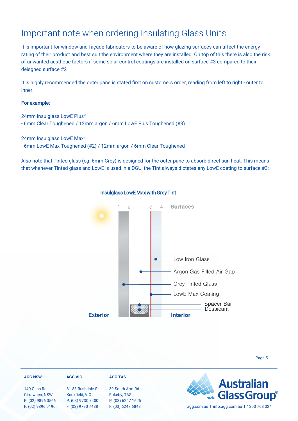### Important note when ordering Insulating Glass Units

It is important for window and façade fabricators to be aware of how glazing surfaces can affect the energy rating of their product and best suit the environment where they are installed. On top of this there is also the risk of unwanted aesthetic factors if some solar control coatings are installed on surface #3 compared to their deisgned surface #2

It is highly recommended the outer pane is stated first on customers order, reading from left to right - outer to inner.

#### For example:

24mm Insulglass LowE Plus®

- 6mm Clear Toughened / 12mm argon / 6mm LowE Plus Toughened (#3)

24mm Insulglass LowE Max®

- 6mm LowE Max Toughened (#2) / 12mm argon / 6mm Clear Toughened

Also note that Tinted glass (eg. 6mm Grey) is designed for the outer pane to absorb direct sun heat. This means that whenever Tinted glass and LowE is used in a DGU, the Tint always dictates any LowE coating to surface #3:



#### Insulglass LowE Max with Grey Tint

#### **AGG NSW AGG VIC AGG TAS Australian** 140 Gilba Rd 81-83 Rushdale St 39 South Arm Rd **Glass Group**® Girraween, NSW Knoxfield, VIC Rokeby, TAS P: (03) 6247 1625 P: (02) 9896 0566 P: (03) 9730 7400 F: (02) 9896 0190 F: (03) 9730 7488 F: (03) 6247 6843 agg.com.au | info.agg.com.au | 1300 768 024